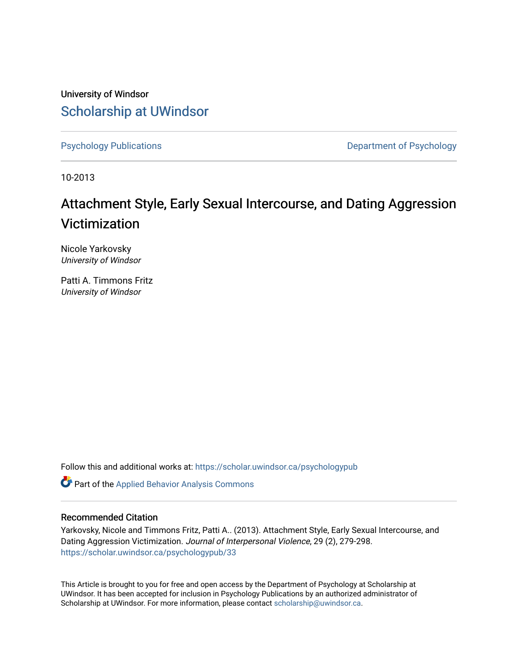University of Windsor [Scholarship at UWindsor](https://scholar.uwindsor.ca/) 

[Psychology Publications](https://scholar.uwindsor.ca/psychologypub) **Department of Psychology** 

10-2013

# Attachment Style, Early Sexual Intercourse, and Dating Aggression Victimization

Nicole Yarkovsky University of Windsor

Patti A. Timmons Fritz University of Windsor

Follow this and additional works at: [https://scholar.uwindsor.ca/psychologypub](https://scholar.uwindsor.ca/psychologypub?utm_source=scholar.uwindsor.ca%2Fpsychologypub%2F33&utm_medium=PDF&utm_campaign=PDFCoverPages) 

Part of the [Applied Behavior Analysis Commons](http://network.bepress.com/hgg/discipline/1235?utm_source=scholar.uwindsor.ca%2Fpsychologypub%2F33&utm_medium=PDF&utm_campaign=PDFCoverPages)

## Recommended Citation

Yarkovsky, Nicole and Timmons Fritz, Patti A.. (2013). Attachment Style, Early Sexual Intercourse, and Dating Aggression Victimization. Journal of Interpersonal Violence, 29 (2), 279-298. [https://scholar.uwindsor.ca/psychologypub/33](https://scholar.uwindsor.ca/psychologypub/33?utm_source=scholar.uwindsor.ca%2Fpsychologypub%2F33&utm_medium=PDF&utm_campaign=PDFCoverPages)

This Article is brought to you for free and open access by the Department of Psychology at Scholarship at UWindsor. It has been accepted for inclusion in Psychology Publications by an authorized administrator of Scholarship at UWindsor. For more information, please contact [scholarship@uwindsor.ca.](mailto:scholarship@uwindsor.ca)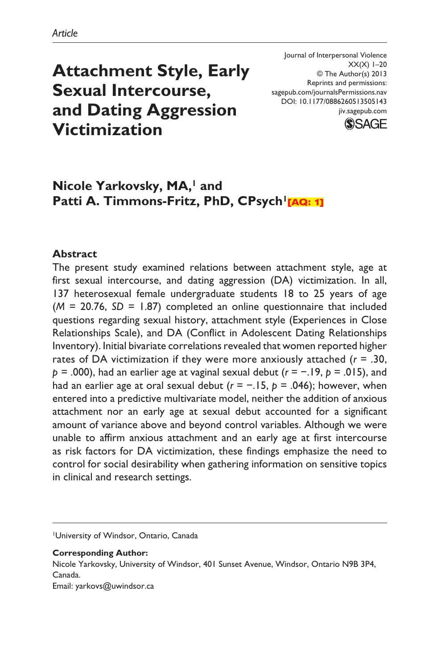## **Attachment Style, Early Sexual Intercourse, and Dating Aggression Victimization**

Journal of Interpersonal Violence  $XX(X)$  1–20 © The Author(s) 2013 Reprints and permissions: sagepub.com/journalsPermissions.nav DOI: 10.1177/0886260513505143 jiv.sagepub.com



## **Nicole Yarkovsky, MA, and** Patti A. Timmons-Fritz, PhD, CPsych<sup>1</sup><sub>[AQ: 1]</sub>

#### **Abstract**

The present study examined relations between attachment style, age at first sexual intercourse, and dating aggression (DA) victimization. In all, 137 heterosexual female undergraduate students 18 to 25 years of age (*M* = 20.76, *SD* = 1.87) completed an online questionnaire that included questions regarding sexual history, attachment style (Experiences in Close Relationships Scale), and DA (Conflict in Adolescent Dating Relationships Inventory). Initial bivariate correlations revealed that women reported higher rates of DA victimization if they were more anxiously attached (*r* = .30, *p* = .000), had an earlier age at vaginal sexual debut (*r* = −.19, *p* = .015), and had an earlier age at oral sexual debut (*r* = −.15, *p* = .046); however, when entered into a predictive multivariate model, neither the addition of anxious attachment nor an early age at sexual debut accounted for a significant amount of variance above and beyond control variables. Although we were unable to affirm anxious attachment and an early age at first intercourse as risk factors for DA victimization, these findings emphasize the need to control for social desirability when gathering information on sensitive topics in clinical and research settings.

1University of Windsor, Ontario, Canada

**Corresponding Author:**

Nicole Yarkovsky, University of Windsor, 401 Sunset Avenue, Windsor, Ontario N9B 3P4, Canada.

Email: yarkovs@uwindsor.ca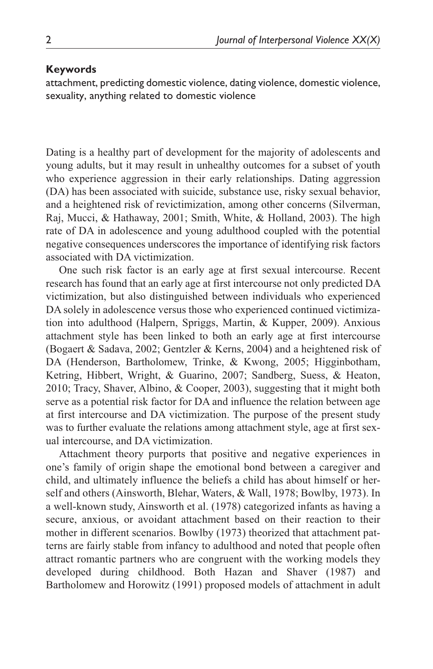#### **Keywords**

attachment, predicting domestic violence, dating violence, domestic violence, sexuality, anything related to domestic violence

Dating is a healthy part of development for the majority of adolescents and young adults, but it may result in unhealthy outcomes for a subset of youth who experience aggression in their early relationships. Dating aggression (DA) has been associated with suicide, substance use, risky sexual behavior, and a heightened risk of revictimization, among other concerns (Silverman, Raj, Mucci, & Hathaway, 2001; Smith, White, & Holland, 2003). The high rate of DA in adolescence and young adulthood coupled with the potential negative consequences underscores the importance of identifying risk factors associated with DA victimization.

One such risk factor is an early age at first sexual intercourse. Recent research has found that an early age at first intercourse not only predicted DA victimization, but also distinguished between individuals who experienced DA solely in adolescence versus those who experienced continued victimization into adulthood (Halpern, Spriggs, Martin, & Kupper, 2009). Anxious attachment style has been linked to both an early age at first intercourse (Bogaert & Sadava, 2002; Gentzler & Kerns, 2004) and a heightened risk of DA (Henderson, Bartholomew, Trinke, & Kwong, 2005; Higginbotham, Ketring, Hibbert, Wright, & Guarino, 2007; Sandberg, Suess, & Heaton, 2010; Tracy, Shaver, Albino, & Cooper, 2003), suggesting that it might both serve as a potential risk factor for DA and influence the relation between age at first intercourse and DA victimization. The purpose of the present study was to further evaluate the relations among attachment style, age at first sexual intercourse, and DA victimization.

Attachment theory purports that positive and negative experiences in one's family of origin shape the emotional bond between a caregiver and child, and ultimately influence the beliefs a child has about himself or herself and others (Ainsworth, Blehar, Waters, & Wall, 1978; Bowlby, 1973). In a well-known study, Ainsworth et al. (1978) categorized infants as having a secure, anxious, or avoidant attachment based on their reaction to their mother in different scenarios. Bowlby (1973) theorized that attachment patterns are fairly stable from infancy to adulthood and noted that people often attract romantic partners who are congruent with the working models they developed during childhood. Both Hazan and Shaver (1987) and Bartholomew and Horowitz (1991) proposed models of attachment in adult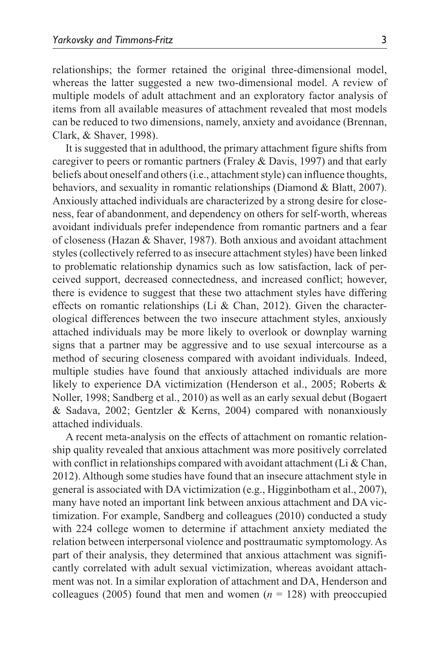relationships; the former retained the original three-dimensional model, whereas the latter suggested a new two-dimensional model. A review of multiple models of adult attachment and an exploratory factor analysis of items from all available measures of attachment revealed that most models can be reduced to two dimensions, namely, anxiety and avoidance (Brennan, Clark, & Shaver, 1998).

It is suggested that in adulthood, the primary attachment figure shifts from caregiver to peers or romantic partners (Fraley & Davis, 1997) and that early beliefs about oneself and others (i.e., attachment style) can influence thoughts, behaviors, and sexuality in romantic relationships (Diamond & Blatt, 2007). Anxiously attached individuals are characterized by a strong desire for closeness, fear of abandonment, and dependency on others for self-worth, whereas avoidant individuals prefer independence from romantic partners and a fear of closeness (Hazan & Shaver, 1987). Both anxious and avoidant attachment styles (collectively referred to as insecure attachment styles) have been linked to problematic relationship dynamics such as low satisfaction, lack of perceived support, decreased connectedness, and increased conflict; however, there is evidence to suggest that these two attachment styles have differing effects on romantic relationships (Li & Chan, 2012). Given the characterological differences between the two insecure attachment styles, anxiously attached individuals may be more likely to overlook or downplay warning signs that a partner may be aggressive and to use sexual intercourse as a method of securing closeness compared with avoidant individuals. Indeed, multiple studies have found that anxiously attached individuals are more likely to experience DA victimization (Henderson et al., 2005; Roberts & Noller, 1998; Sandberg et al., 2010) as well as an early sexual debut (Bogaert & Sadava, 2002; Gentzler & Kerns, 2004) compared with nonanxiously attached individuals.

A recent meta-analysis on the effects of attachment on romantic relationship quality revealed that anxious attachment was more positively correlated with conflict in relationships compared with avoidant attachment (Li & Chan, 2012). Although some studies have found that an insecure attachment style in general is associated with DA victimization (e.g., Higginbotham et al., 2007), many have noted an important link between anxious attachment and DA victimization. For example, Sandberg and colleagues (2010) conducted a study with 224 college women to determine if attachment anxiety mediated the relation between interpersonal violence and posttraumatic symptomology. As part of their analysis, they determined that anxious attachment was significantly correlated with adult sexual victimization, whereas avoidant attachment was not. In a similar exploration of attachment and DA, Henderson and colleagues (2005) found that men and women  $(n = 128)$  with preoccupied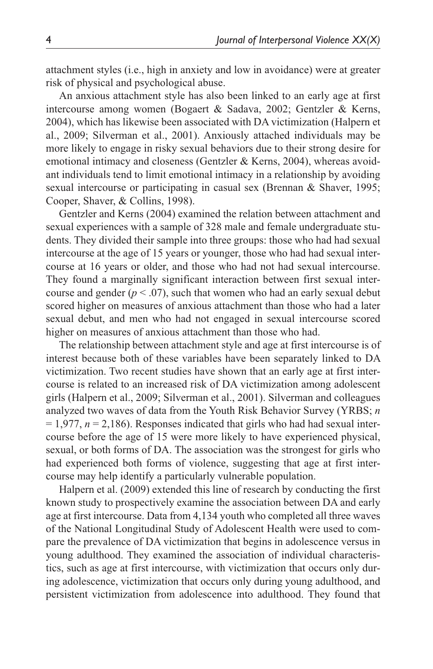attachment styles (i.e., high in anxiety and low in avoidance) were at greater risk of physical and psychological abuse.

An anxious attachment style has also been linked to an early age at first intercourse among women (Bogaert & Sadava, 2002; Gentzler & Kerns, 2004), which has likewise been associated with DA victimization (Halpern et al., 2009; Silverman et al., 2001). Anxiously attached individuals may be more likely to engage in risky sexual behaviors due to their strong desire for emotional intimacy and closeness (Gentzler & Kerns, 2004), whereas avoidant individuals tend to limit emotional intimacy in a relationship by avoiding sexual intercourse or participating in casual sex (Brennan & Shaver, 1995; Cooper, Shaver, & Collins, 1998).

Gentzler and Kerns (2004) examined the relation between attachment and sexual experiences with a sample of 328 male and female undergraduate students. They divided their sample into three groups: those who had had sexual intercourse at the age of 15 years or younger, those who had had sexual intercourse at 16 years or older, and those who had not had sexual intercourse. They found a marginally significant interaction between first sexual intercourse and gender  $(p < .07)$ , such that women who had an early sexual debut scored higher on measures of anxious attachment than those who had a later sexual debut, and men who had not engaged in sexual intercourse scored higher on measures of anxious attachment than those who had.

The relationship between attachment style and age at first intercourse is of interest because both of these variables have been separately linked to DA victimization. Two recent studies have shown that an early age at first intercourse is related to an increased risk of DA victimization among adolescent girls (Halpern et al., 2009; Silverman et al., 2001). Silverman and colleagues analyzed two waves of data from the Youth Risk Behavior Survey (YRBS; *n*  $= 1.977$ ,  $n = 2.186$ ). Responses indicated that girls who had had sexual intercourse before the age of 15 were more likely to have experienced physical, sexual, or both forms of DA. The association was the strongest for girls who had experienced both forms of violence, suggesting that age at first intercourse may help identify a particularly vulnerable population.

Halpern et al. (2009) extended this line of research by conducting the first known study to prospectively examine the association between DA and early age at first intercourse. Data from 4,134 youth who completed all three waves of the National Longitudinal Study of Adolescent Health were used to compare the prevalence of DA victimization that begins in adolescence versus in young adulthood. They examined the association of individual characteristics, such as age at first intercourse, with victimization that occurs only during adolescence, victimization that occurs only during young adulthood, and persistent victimization from adolescence into adulthood. They found that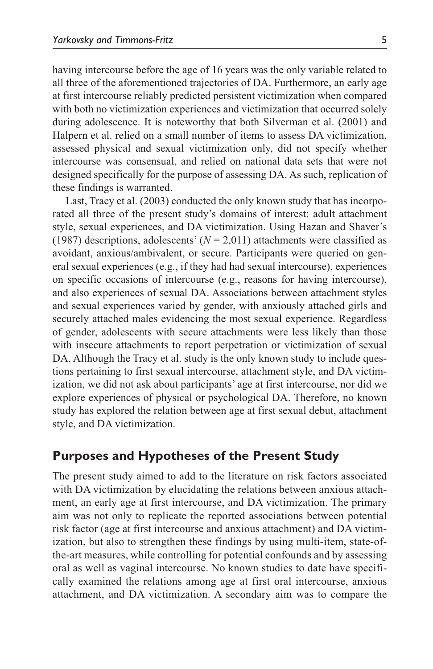having intercourse before the age of 16 years was the only variable related to all three of the aforementioned trajectories of DA. Furthermore, an early age at first intercourse reliably predicted persistent victimization when compared with both no victimization experiences and victimization that occurred solely during adolescence. It is noteworthy that both Silverman et al. (2001) and Halpern et al. relied on a small number of items to assess DA victimization, assessed physical and sexual victimization only, did not specify whether intercourse was consensual, and relied on national data sets that were not designed specifically for the purpose of assessing DA. As such, replication of these findings is warranted.

Last, Tracy et al. (2003) conducted the only known study that has incorporated all three of the present study's domains of interest: adult attachment style, sexual experiences, and DA victimization. Using Hazan and Shaver's (1987) descriptions, adolescents'  $(N = 2,011)$  attachments were classified as avoidant, anxious/ambivalent, or secure. Participants were queried on general sexual experiences (e.g., if they had had sexual intercourse), experiences on specific occasions of intercourse (e.g., reasons for having intercourse), and also experiences of sexual DA. Associations between attachment styles and sexual experiences varied by gender, with anxiously attached girls and securely attached males evidencing the most sexual experience. Regardless of gender, adolescents with secure attachments were less likely than those with insecure attachments to report perpetration or victimization of sexual DA. Although the Tracy et al. study is the only known study to include questions pertaining to first sexual intercourse, attachment style, and DA victimization, we did not ask about participants' age at first intercourse, nor did we explore experiences of physical or psychological DA. Therefore, no known study has explored the relation between age at first sexual debut, attachment style, and DA victimization.

## **Purposes and Hypotheses of the Present Study**

The present study aimed to add to the literature on risk factors associated with DA victimization by elucidating the relations between anxious attachment, an early age at first intercourse, and DA victimization. The primary aim was not only to replicate the reported associations between potential risk factor (age at first intercourse and anxious attachment) and DA victimization, but also to strengthen these findings by using multi-item, state-ofthe-art measures, while controlling for potential confounds and by assessing oral as well as vaginal intercourse. No known studies to date have specifically examined the relations among age at first oral intercourse, anxious attachment, and DA victimization. A secondary aim was to compare the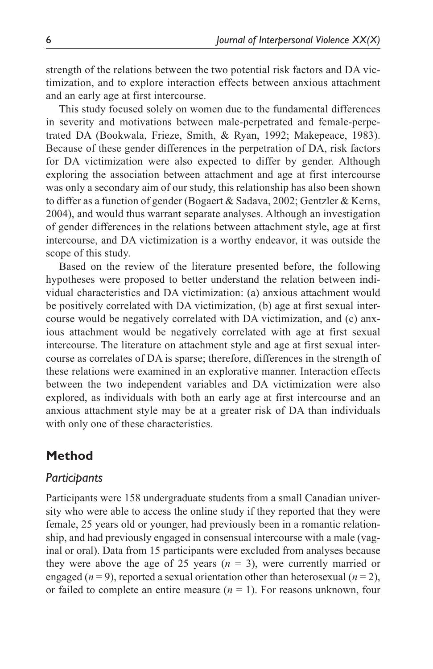strength of the relations between the two potential risk factors and DA victimization, and to explore interaction effects between anxious attachment and an early age at first intercourse.

This study focused solely on women due to the fundamental differences in severity and motivations between male-perpetrated and female-perpetrated DA (Bookwala, Frieze, Smith, & Ryan, 1992; Makepeace, 1983). Because of these gender differences in the perpetration of DA, risk factors for DA victimization were also expected to differ by gender. Although exploring the association between attachment and age at first intercourse was only a secondary aim of our study, this relationship has also been shown to differ as a function of gender (Bogaert & Sadava, 2002; Gentzler & Kerns, 2004), and would thus warrant separate analyses. Although an investigation of gender differences in the relations between attachment style, age at first intercourse, and DA victimization is a worthy endeavor, it was outside the scope of this study.

Based on the review of the literature presented before, the following hypotheses were proposed to better understand the relation between individual characteristics and DA victimization: (a) anxious attachment would be positively correlated with DA victimization, (b) age at first sexual intercourse would be negatively correlated with DA victimization, and (c) anxious attachment would be negatively correlated with age at first sexual intercourse. The literature on attachment style and age at first sexual intercourse as correlates of DA is sparse; therefore, differences in the strength of these relations were examined in an explorative manner. Interaction effects between the two independent variables and DA victimization were also explored, as individuals with both an early age at first intercourse and an anxious attachment style may be at a greater risk of DA than individuals with only one of these characteristics.

## **Method**

## *Participants*

Participants were 158 undergraduate students from a small Canadian university who were able to access the online study if they reported that they were female, 25 years old or younger, had previously been in a romantic relationship, and had previously engaged in consensual intercourse with a male (vaginal or oral). Data from 15 participants were excluded from analyses because they were above the age of 25 years  $(n = 3)$ , were currently married or engaged  $(n = 9)$ , reported a sexual orientation other than heterosexual  $(n = 2)$ , or failed to complete an entire measure  $(n = 1)$ . For reasons unknown, four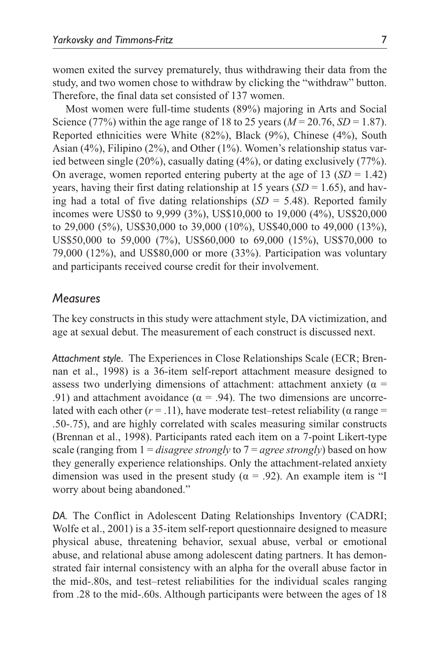women exited the survey prematurely, thus withdrawing their data from the study, and two women chose to withdraw by clicking the "withdraw" button. Therefore, the final data set consisted of 137 women.

Most women were full-time students (89%) majoring in Arts and Social Science (77%) within the age range of 18 to 25 years ( $M = 20.76$ ,  $SD = 1.87$ ). Reported ethnicities were White (82%), Black (9%), Chinese (4%), South Asian (4%), Filipino (2%), and Other (1%). Women's relationship status varied between single (20%), casually dating (4%), or dating exclusively (77%). On average, women reported entering puberty at the age of 13  $(SD = 1.42)$ years, having their first dating relationship at 15 years  $(SD = 1.65)$ , and having had a total of five dating relationships (*SD* = 5.48). Reported family incomes were US\$0 to 9,999 (3%), US\$10,000 to 19,000 (4%), US\$20,000 to 29,000 (5%), US\$30,000 to 39,000 (10%), US\$40,000 to 49,000 (13%), US\$50,000 to 59,000 (7%), US\$60,000 to 69,000 (15%), US\$70,000 to 79,000 (12%), and US\$80,000 or more (33%). Participation was voluntary and participants received course credit for their involvement.

#### *Measures*

The key constructs in this study were attachment style, DA victimization, and age at sexual debut. The measurement of each construct is discussed next.

*Attachment style.* The Experiences in Close Relationships Scale (ECR; Brennan et al., 1998) is a 36-item self-report attachment measure designed to assess two underlying dimensions of attachment: attachment anxiety ( $\alpha$  = .91) and attachment avoidance ( $\alpha$  = .94). The two dimensions are uncorrelated with each other  $(r = .11)$ , have moderate test–retest reliability ( $\alpha$  range = .50-.75), and are highly correlated with scales measuring similar constructs (Brennan et al., 1998). Participants rated each item on a 7-point Likert-type scale (ranging from 1 = *disagree strongly* to 7 = *agree strongly*) based on how they generally experience relationships. Only the attachment-related anxiety dimension was used in the present study ( $\alpha$  = .92). An example item is "I worry about being abandoned."

*DA.* The Conflict in Adolescent Dating Relationships Inventory (CADRI; Wolfe et al., 2001) is a 35-item self-report questionnaire designed to measure physical abuse, threatening behavior, sexual abuse, verbal or emotional abuse, and relational abuse among adolescent dating partners. It has demonstrated fair internal consistency with an alpha for the overall abuse factor in the mid-.80s, and test–retest reliabilities for the individual scales ranging from .28 to the mid-.60s. Although participants were between the ages of 18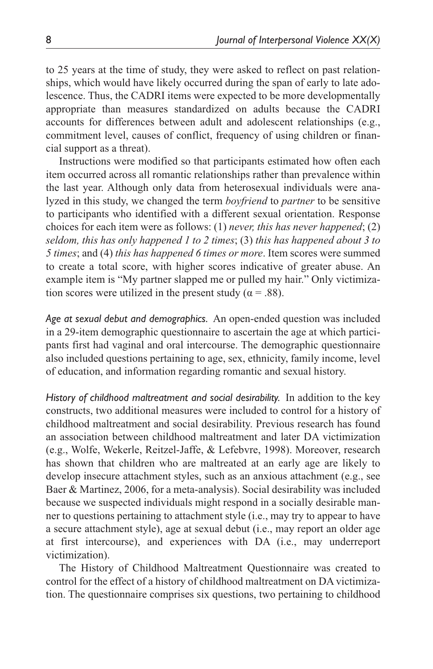to 25 years at the time of study, they were asked to reflect on past relationships, which would have likely occurred during the span of early to late adolescence. Thus, the CADRI items were expected to be more developmentally appropriate than measures standardized on adults because the CADRI accounts for differences between adult and adolescent relationships (e.g., commitment level, causes of conflict, frequency of using children or financial support as a threat).

Instructions were modified so that participants estimated how often each item occurred across all romantic relationships rather than prevalence within the last year. Although only data from heterosexual individuals were analyzed in this study, we changed the term *boyfriend* to *partner* to be sensitive to participants who identified with a different sexual orientation. Response choices for each item were as follows: (1) *never, this has never happened*; (2) *seldom, this has only happened 1 to 2 times*; (3) *this has happened about 3 to 5 times*; and (4) *this has happened 6 times or more*. Item scores were summed to create a total score, with higher scores indicative of greater abuse. An example item is "My partner slapped me or pulled my hair." Only victimization scores were utilized in the present study ( $\alpha = .88$ ).

*Age at sexual debut and demographics.* An open-ended question was included in a 29-item demographic questionnaire to ascertain the age at which participants first had vaginal and oral intercourse. The demographic questionnaire also included questions pertaining to age, sex, ethnicity, family income, level of education, and information regarding romantic and sexual history.

*History of childhood maltreatment and social desirability.* In addition to the key constructs, two additional measures were included to control for a history of childhood maltreatment and social desirability. Previous research has found an association between childhood maltreatment and later DA victimization (e.g., Wolfe, Wekerle, Reitzel-Jaffe, & Lefebvre, 1998). Moreover, research has shown that children who are maltreated at an early age are likely to develop insecure attachment styles, such as an anxious attachment (e.g., see Baer & Martinez, 2006, for a meta-analysis). Social desirability was included because we suspected individuals might respond in a socially desirable manner to questions pertaining to attachment style (i.e., may try to appear to have a secure attachment style), age at sexual debut (i.e., may report an older age at first intercourse), and experiences with DA (i.e., may underreport victimization).

The History of Childhood Maltreatment Questionnaire was created to control for the effect of a history of childhood maltreatment on DA victimization. The questionnaire comprises six questions, two pertaining to childhood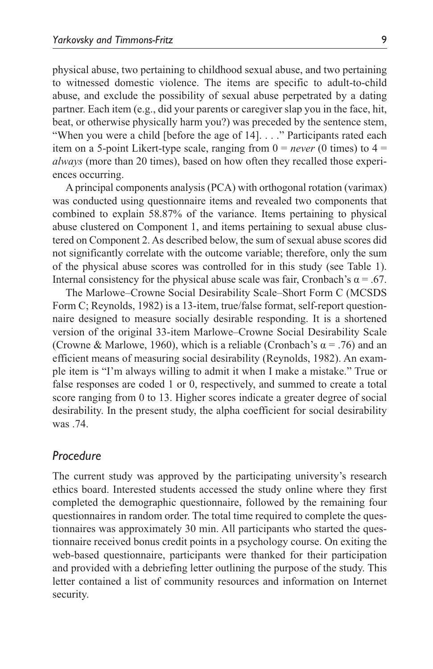physical abuse, two pertaining to childhood sexual abuse, and two pertaining to witnessed domestic violence. The items are specific to adult-to-child abuse, and exclude the possibility of sexual abuse perpetrated by a dating partner. Each item (e.g., did your parents or caregiver slap you in the face, hit, beat, or otherwise physically harm you?) was preceded by the sentence stem, "When you were a child [before the age of 14]. . . ." Participants rated each item on a 5-point Likert-type scale, ranging from  $0 = never$  (0 times) to  $4 =$ *always* (more than 20 times), based on how often they recalled those experiences occurring.

A principal components analysis (PCA) with orthogonal rotation (varimax) was conducted using questionnaire items and revealed two components that combined to explain 58.87% of the variance. Items pertaining to physical abuse clustered on Component 1, and items pertaining to sexual abuse clustered on Component 2. As described below, the sum of sexual abuse scores did not significantly correlate with the outcome variable; therefore, only the sum of the physical abuse scores was controlled for in this study (see Table 1). Internal consistency for the physical abuse scale was fair, Cronbach's  $\alpha = .67$ .

The Marlowe–Crowne Social Desirability Scale–Short Form C (MCSDS Form C; Reynolds, 1982) is a 13-item, true/false format, self-report questionnaire designed to measure socially desirable responding. It is a shortened version of the original 33-item Marlowe–Crowne Social Desirability Scale (Crowne & Marlowe, 1960), which is a reliable (Cronbach's  $\alpha$  = .76) and an efficient means of measuring social desirability (Reynolds, 1982). An example item is "I'm always willing to admit it when I make a mistake." True or false responses are coded 1 or 0, respectively, and summed to create a total score ranging from 0 to 13. Higher scores indicate a greater degree of social desirability. In the present study, the alpha coefficient for social desirability was .74.

#### *Procedure*

The current study was approved by the participating university's research ethics board. Interested students accessed the study online where they first completed the demographic questionnaire, followed by the remaining four questionnaires in random order. The total time required to complete the questionnaires was approximately 30 min. All participants who started the questionnaire received bonus credit points in a psychology course. On exiting the web-based questionnaire, participants were thanked for their participation and provided with a debriefing letter outlining the purpose of the study. This letter contained a list of community resources and information on Internet security.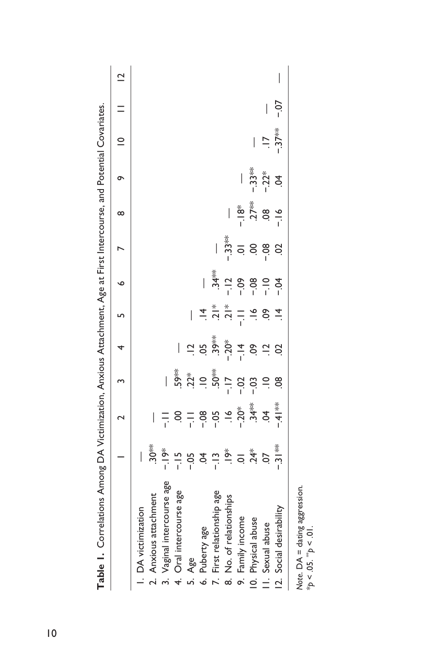| Table 1. Correlations Among DA Victimization, Anxious Attachment, Age at First Intercourse, and Potential Covariates. |                                                                       |                  |                                       |                  |               |                                       |                    |               |                             |                                |                                 |  |
|-----------------------------------------------------------------------------------------------------------------------|-----------------------------------------------------------------------|------------------|---------------------------------------|------------------|---------------|---------------------------------------|--------------------|---------------|-----------------------------|--------------------------------|---------------------------------|--|
|                                                                                                                       |                                                                       | $\frac{1}{2}$    |                                       |                  |               |                                       | $3 \t 5 \t 6 \t 7$ | $\infty$      | $\circ$                     |                                | $\frac{10}{11}$ $\frac{12}{12}$ |  |
| I. DA victimization                                                                                                   | $\overline{\phantom{a}}$                                              |                  |                                       |                  |               |                                       |                    |               |                             |                                |                                 |  |
| 2. Anxious attachment                                                                                                 | $\sum_{i=1}^{n}$                                                      |                  |                                       |                  |               |                                       |                    |               |                             |                                |                                 |  |
| 3. Vaginal intercourse age                                                                                            | $-19*$                                                                | $\frac{1}{1}$    | $\begin{array}{c} \hline \end{array}$ |                  |               |                                       |                    |               |                             |                                |                                 |  |
| 4. Oral intercourse age                                                                                               |                                                                       | S.               | $59**$                                | I                |               |                                       |                    |               |                             |                                |                                 |  |
| 5. Age                                                                                                                | $\frac{1}{2}$ 9 $\frac{2}{3}$                                         | $\frac{1}{1}$    | $22*$                                 | $\frac{1}{2}$    |               |                                       |                    |               |                             |                                |                                 |  |
| 6. Puberty age                                                                                                        |                                                                       |                  | $\supseteq$                           | 05               |               | $\begin{array}{c} \hline \end{array}$ |                    |               |                             |                                |                                 |  |
| 7. First relationship age                                                                                             |                                                                       | $-0.5$<br>$-1.4$ | $.50**$                               | $.39**$          | $\frac{1}{2}$ | $34**$                                |                    |               |                             |                                |                                 |  |
| 8. No. of relationships                                                                                               | $\frac{1}{2}$ $\frac{1}{2}$ $\frac{1}{2}$ $\frac{1}{2}$ $\frac{1}{2}$ |                  | $\frac{5}{1}$                         | $-20^*$<br>$-14$ | $.21*$        | $-1$ .                                | - 33**             |               |                             |                                |                                 |  |
| 9. Family income                                                                                                      |                                                                       | $-0.20^{*}$      | $-0.02$                               |                  | $\frac{1}{1}$ | $-0.09$                               | $\overline{Q}$     | $rac{8}{1}$   |                             |                                |                                 |  |
| 10. Physical abuse                                                                                                    | $.24*$                                                                | $34**$           | $-0.0$                                | SO.              | $\frac{8}{1}$ | $-0.8$                                | S.                 | $.27**$       | - 33**                      | $\begin{array}{c} \end{array}$ |                                 |  |
| II. Sexual abuse                                                                                                      | $\overline{C}$                                                        | $\vec{c}$        | $\frac{1}{2}$                         | $\frac{1}{2}$    | <b>eo</b>     | $\frac{1}{1}$                         | $-0.8$             | $\frac{8}{2}$ | $-0.22*$                    | $\overline{a}$                 |                                 |  |
| 12. Social desirability                                                                                               | $-31$ **                                                              | $\frac{*}{*}$    | $\frac{8}{2}$                         | $\overline{c}$   |               | $-0.1$                                | S                  | $-16$         | $\mathcal{L}_{\mathcal{D}}$ | $-37$ **                       | $-0.7$                          |  |
|                                                                                                                       |                                                                       |                  |                                       |                  |               |                                       |                    |               |                             |                                |                                 |  |

Note. DA = dating aggression.<br>\*p < .05. \*\*p < .01. *Note*. DA = dating aggression. \**p* < .05. \*\**p* < .01.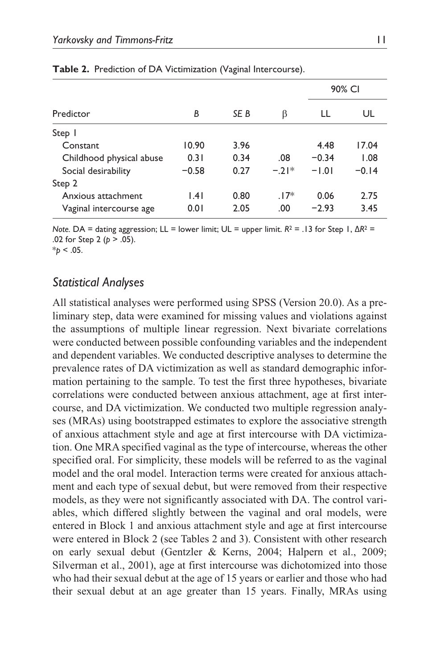|                          |                  |      |        | 90% CI  |         |
|--------------------------|------------------|------|--------|---------|---------|
| Predictor                | B                | SE B | β      | LL      | UL      |
| Step 1                   |                  |      |        |         |         |
| Constant                 | 10.90            | 3.96 |        | 4.48    | 17.04   |
| Childhood physical abuse | 0.31             | 0.34 | .08    | $-0.34$ | 1.08    |
| Social desirability      | $-0.58$          | 0.27 | $-21*$ | $-1.01$ | $-0.14$ |
| Step 2                   |                  |      |        |         |         |
| Anxious attachment       | $\vert .4 \vert$ | 0.80 | $.17*$ | 0.06    | 2.75    |
| Vaginal intercourse age  | 0.01             | 2.05 | .00    | $-2.93$ | 3.45    |

**Table 2.** Prediction of DA Victimization (Vaginal Intercourse).

*Note.* DA = dating aggression; LL = lower limit; UL = upper limit. *R*2 = .13 for Step 1, Δ*R*2 = .02 for Step 2 (*p* > .05). \**p* < .05.

## *Statistical Analyses*

All statistical analyses were performed using SPSS (Version 20.0). As a preliminary step, data were examined for missing values and violations against the assumptions of multiple linear regression. Next bivariate correlations were conducted between possible confounding variables and the independent and dependent variables. We conducted descriptive analyses to determine the prevalence rates of DA victimization as well as standard demographic information pertaining to the sample. To test the first three hypotheses, bivariate correlations were conducted between anxious attachment, age at first intercourse, and DA victimization. We conducted two multiple regression analyses (MRAs) using bootstrapped estimates to explore the associative strength of anxious attachment style and age at first intercourse with DA victimization. One MRA specified vaginal as the type of intercourse, whereas the other specified oral. For simplicity, these models will be referred to as the vaginal model and the oral model. Interaction terms were created for anxious attachment and each type of sexual debut, but were removed from their respective models, as they were not significantly associated with DA. The control variables, which differed slightly between the vaginal and oral models, were entered in Block 1 and anxious attachment style and age at first intercourse were entered in Block 2 (see Tables 2 and 3). Consistent with other research on early sexual debut (Gentzler & Kerns, 2004; Halpern et al., 2009; Silverman et al., 2001), age at first intercourse was dichotomized into those who had their sexual debut at the age of 15 years or earlier and those who had their sexual debut at an age greater than 15 years. Finally, MRAs using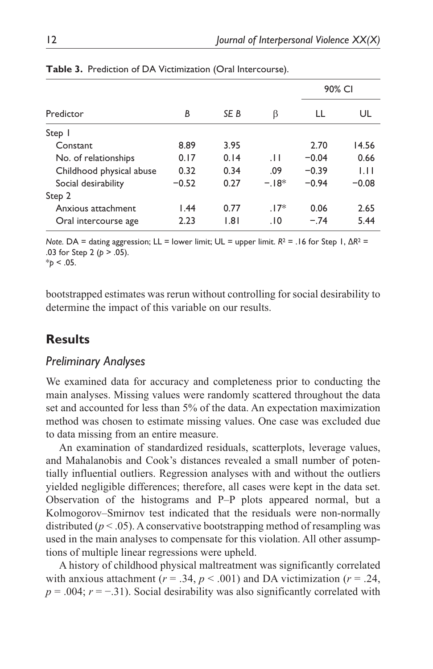|                          |         |      |          | 90% CI  |         |
|--------------------------|---------|------|----------|---------|---------|
| Predictor                | В       | SE B | β        | LL      | UL      |
| Step 1                   |         |      |          |         |         |
| Constant                 | 8.89    | 3.95 |          | 2.70    | 14.56   |
| No. of relationships     | 0.17    | 0.14 | $\pm$ 11 | $-0.04$ | 0.66    |
| Childhood physical abuse | 0.32    | 0.34 | .09      | $-0.39$ | 1.11    |
| Social desirability      | $-0.52$ | 0.27 | $-18*$   | $-0.94$ | $-0.08$ |
| Step 2                   |         |      |          |         |         |
| Anxious attachment       | 1.44    | 0.77 | $.17*$   | 0.06    | 2.65    |
| Oral intercourse age     | 2.23    | 1.81 | . 10     | $-.74$  | 5.44    |

**Table 3.** Prediction of DA Victimization (Oral Intercourse).

*Note.* DA = dating aggression; LL = lower limit; UL = upper limit. *R*2 = .16 for Step 1, Δ*R*2 = .03 for Step 2 (*p* > .05).  $*_{p}$  < .05.

bootstrapped estimates was rerun without controlling for social desirability to determine the impact of this variable on our results.

## **Results**

## *Preliminary Analyses*

We examined data for accuracy and completeness prior to conducting the main analyses. Missing values were randomly scattered throughout the data set and accounted for less than 5% of the data. An expectation maximization method was chosen to estimate missing values. One case was excluded due to data missing from an entire measure.

An examination of standardized residuals, scatterplots, leverage values, and Mahalanobis and Cook's distances revealed a small number of potentially influential outliers. Regression analyses with and without the outliers yielded negligible differences; therefore, all cases were kept in the data set. Observation of the histograms and P–P plots appeared normal, but a Kolmogorov–Smirnov test indicated that the residuals were non-normally distributed ( $p < .05$ ). A conservative bootstrapping method of resampling was used in the main analyses to compensate for this violation. All other assumptions of multiple linear regressions were upheld.

A history of childhood physical maltreatment was significantly correlated with anxious attachment ( $r = .34$ ,  $p < .001$ ) and DA victimization ( $r = .24$ ,  $p = 0.004$ ;  $r = -0.31$ ). Social desirability was also significantly correlated with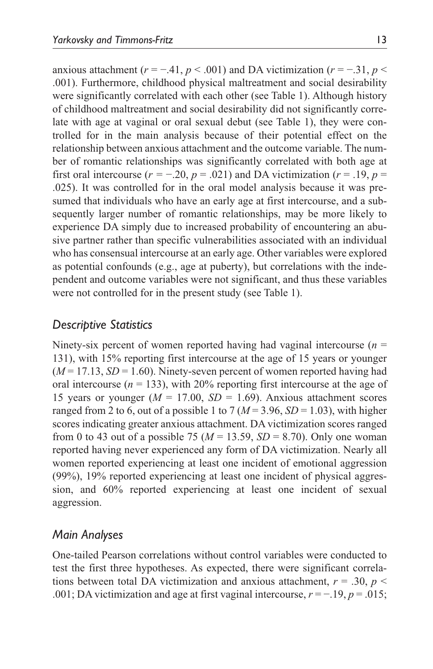anxious attachment ( $r = -0.41$ ,  $p < 0.001$ ) and DA victimization ( $r = -0.31$ ,  $p <$ .001). Furthermore, childhood physical maltreatment and social desirability were significantly correlated with each other (see Table 1). Although history of childhood maltreatment and social desirability did not significantly correlate with age at vaginal or oral sexual debut (see Table 1), they were controlled for in the main analysis because of their potential effect on the relationship between anxious attachment and the outcome variable. The number of romantic relationships was significantly correlated with both age at first oral intercourse ( $r = -0.20$ ,  $p = 0.021$ ) and DA victimization ( $r = 0.19$ ,  $p =$ .025). It was controlled for in the oral model analysis because it was presumed that individuals who have an early age at first intercourse, and a subsequently larger number of romantic relationships, may be more likely to experience DA simply due to increased probability of encountering an abusive partner rather than specific vulnerabilities associated with an individual who has consensual intercourse at an early age. Other variables were explored as potential confounds (e.g., age at puberty), but correlations with the independent and outcome variables were not significant, and thus these variables were not controlled for in the present study (see Table 1).

## *Descriptive Statistics*

Ninety-six percent of women reported having had vaginal intercourse (*n* = 131), with 15% reporting first intercourse at the age of 15 years or younger  $(M = 17.13, SD = 1.60)$ . Ninety-seven percent of women reported having had oral intercourse  $(n = 133)$ , with 20% reporting first intercourse at the age of 15 years or younger  $(M = 17.00, SD = 1.69)$ . Anxious attachment scores ranged from 2 to 6, out of a possible 1 to 7 ( $M = 3.96$ ,  $SD = 1.03$ ), with higher scores indicating greater anxious attachment. DA victimization scores ranged from 0 to 43 out of a possible 75 (*M* = 13.59, *SD* = 8.70). Only one woman reported having never experienced any form of DA victimization. Nearly all women reported experiencing at least one incident of emotional aggression (99%), 19% reported experiencing at least one incident of physical aggression, and 60% reported experiencing at least one incident of sexual aggression.

## *Main Analyses*

One-tailed Pearson correlations without control variables were conducted to test the first three hypotheses. As expected, there were significant correlations between total DA victimization and anxious attachment,  $r = .30$ ,  $p <$ .001; DA victimization and age at first vaginal intercourse, *r* = −.19, *p* = .015;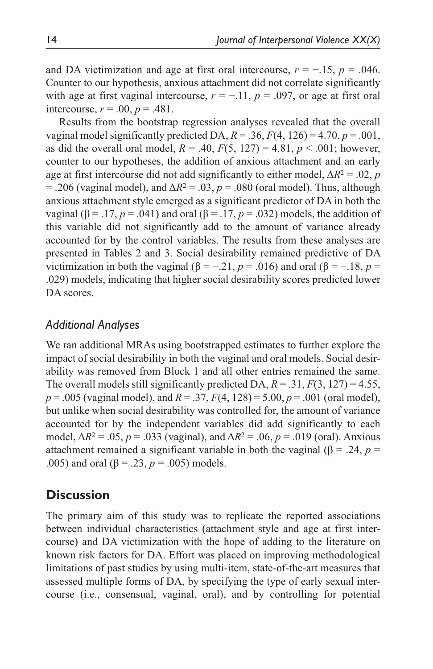and DA victimization and age at first oral intercourse,  $r = -0.15$ ,  $p = 0.046$ . Counter to our hypothesis, anxious attachment did not correlate significantly with age at first vaginal intercourse,  $r = -11$ ,  $p = .097$ , or age at first oral intercourse,  $r = .00$ ,  $p = .481$ .

Results from the bootstrap regression analyses revealed that the overall vaginal model significantly predicted DA,  $R = 0.36$ ,  $F(4, 126) = 4.70$ ,  $p = 0.001$ , as did the overall oral model,  $R = .40, F(5, 127) = 4.81, p < .001$ ; however, counter to our hypotheses, the addition of anxious attachment and an early age at first intercourse did not add significantly to either model,  $\Delta R^2 = .02$ , *p*  $= .206$  (vaginal model), and  $\Delta R^2 = .03$ ,  $p = .080$  (oral model). Thus, although anxious attachment style emerged as a significant predictor of DA in both the vaginal ( $\beta$  = .17, *p* = .041) and oral ( $\beta$  = .17, *p* = .032) models, the addition of this variable did not significantly add to the amount of variance already accounted for by the control variables. The results from these analyses are presented in Tables 2 and 3. Social desirability remained predictive of DA victimization in both the vaginal (β = −.21, *p* = .016) and oral (β = −.18, *p* = .029) models, indicating that higher social desirability scores predicted lower DA scores.

## *Additional Analyses*

We ran additional MRAs using bootstrapped estimates to further explore the impact of social desirability in both the vaginal and oral models. Social desirability was removed from Block 1 and all other entries remained the same. The overall models still significantly predicted DA,  $R = .31, F(3, 127) = 4.55$ , *p* = .005 (vaginal model), and *R* = .37, *F*(4, 128) = 5.00, *p* = .001 (oral model), but unlike when social desirability was controlled for, the amount of variance accounted for by the independent variables did add significantly to each model,  $\Delta R^2 = .05$ ,  $p = .033$  (vaginal), and  $\Delta R^2 = .06$ ,  $p = .019$  (oral). Anxious attachment remained a significant variable in both the vaginal ( $\beta = .24$ ,  $p =$ .005) and oral (β = .23,  $p = .005$ ) models.

## **Discussion**

The primary aim of this study was to replicate the reported associations between individual characteristics (attachment style and age at first intercourse) and DA victimization with the hope of adding to the literature on known risk factors for DA. Effort was placed on improving methodological limitations of past studies by using multi-item, state-of-the-art measures that assessed multiple forms of DA, by specifying the type of early sexual intercourse (i.e., consensual, vaginal, oral), and by controlling for potential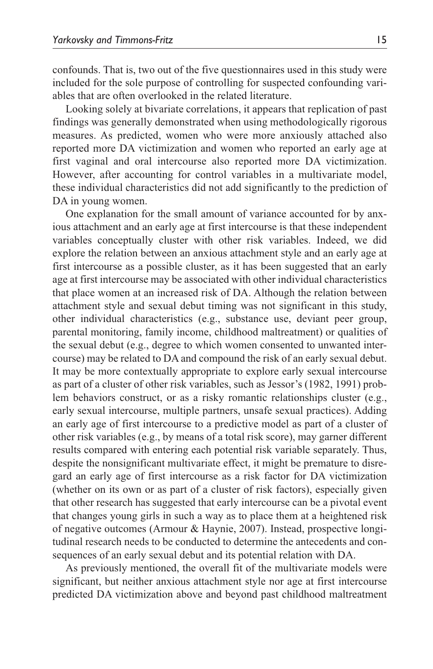confounds. That is, two out of the five questionnaires used in this study were included for the sole purpose of controlling for suspected confounding variables that are often overlooked in the related literature.

Looking solely at bivariate correlations, it appears that replication of past findings was generally demonstrated when using methodologically rigorous measures. As predicted, women who were more anxiously attached also reported more DA victimization and women who reported an early age at first vaginal and oral intercourse also reported more DA victimization. However, after accounting for control variables in a multivariate model, these individual characteristics did not add significantly to the prediction of DA in young women.

One explanation for the small amount of variance accounted for by anxious attachment and an early age at first intercourse is that these independent variables conceptually cluster with other risk variables. Indeed, we did explore the relation between an anxious attachment style and an early age at first intercourse as a possible cluster, as it has been suggested that an early age at first intercourse may be associated with other individual characteristics that place women at an increased risk of DA. Although the relation between attachment style and sexual debut timing was not significant in this study, other individual characteristics (e.g., substance use, deviant peer group, parental monitoring, family income, childhood maltreatment) or qualities of the sexual debut (e.g., degree to which women consented to unwanted intercourse) may be related to DA and compound the risk of an early sexual debut. It may be more contextually appropriate to explore early sexual intercourse as part of a cluster of other risk variables, such as Jessor's (1982, 1991) problem behaviors construct, or as a risky romantic relationships cluster (e.g., early sexual intercourse, multiple partners, unsafe sexual practices). Adding an early age of first intercourse to a predictive model as part of a cluster of other risk variables (e.g., by means of a total risk score), may garner different results compared with entering each potential risk variable separately. Thus, despite the nonsignificant multivariate effect, it might be premature to disregard an early age of first intercourse as a risk factor for DA victimization (whether on its own or as part of a cluster of risk factors), especially given that other research has suggested that early intercourse can be a pivotal event that changes young girls in such a way as to place them at a heightened risk of negative outcomes (Armour & Haynie, 2007). Instead, prospective longitudinal research needs to be conducted to determine the antecedents and consequences of an early sexual debut and its potential relation with DA.

As previously mentioned, the overall fit of the multivariate models were significant, but neither anxious attachment style nor age at first intercourse predicted DA victimization above and beyond past childhood maltreatment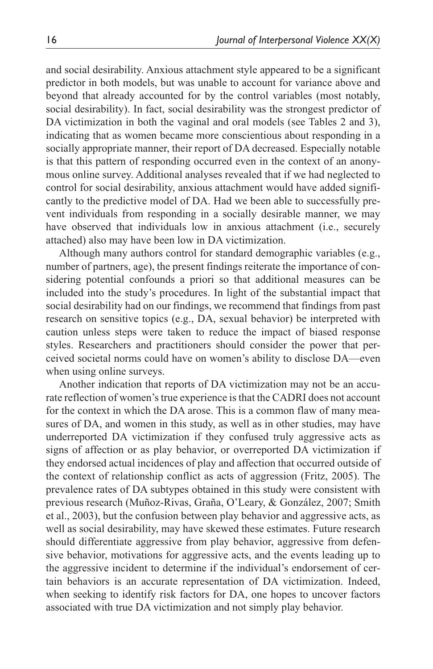and social desirability. Anxious attachment style appeared to be a significant predictor in both models, but was unable to account for variance above and beyond that already accounted for by the control variables (most notably, social desirability). In fact, social desirability was the strongest predictor of DA victimization in both the vaginal and oral models (see Tables 2 and 3), indicating that as women became more conscientious about responding in a socially appropriate manner, their report of DA decreased. Especially notable is that this pattern of responding occurred even in the context of an anonymous online survey. Additional analyses revealed that if we had neglected to control for social desirability, anxious attachment would have added significantly to the predictive model of DA. Had we been able to successfully prevent individuals from responding in a socially desirable manner, we may have observed that individuals low in anxious attachment (i.e., securely attached) also may have been low in DA victimization.

Although many authors control for standard demographic variables (e.g., number of partners, age), the present findings reiterate the importance of considering potential confounds a priori so that additional measures can be included into the study's procedures. In light of the substantial impact that social desirability had on our findings, we recommend that findings from past research on sensitive topics (e.g., DA, sexual behavior) be interpreted with caution unless steps were taken to reduce the impact of biased response styles. Researchers and practitioners should consider the power that perceived societal norms could have on women's ability to disclose DA—even when using online surveys.

Another indication that reports of DA victimization may not be an accurate reflection of women's true experience is that the CADRI does not account for the context in which the DA arose. This is a common flaw of many measures of DA, and women in this study, as well as in other studies, may have underreported DA victimization if they confused truly aggressive acts as signs of affection or as play behavior, or overreported DA victimization if they endorsed actual incidences of play and affection that occurred outside of the context of relationship conflict as acts of aggression (Fritz, 2005). The prevalence rates of DA subtypes obtained in this study were consistent with previous research (Muñoz-Rivas, Graña, O'Leary, & González, 2007; Smith et al., 2003), but the confusion between play behavior and aggressive acts, as well as social desirability, may have skewed these estimates. Future research should differentiate aggressive from play behavior, aggressive from defensive behavior, motivations for aggressive acts, and the events leading up to the aggressive incident to determine if the individual's endorsement of certain behaviors is an accurate representation of DA victimization. Indeed, when seeking to identify risk factors for DA, one hopes to uncover factors associated with true DA victimization and not simply play behavior.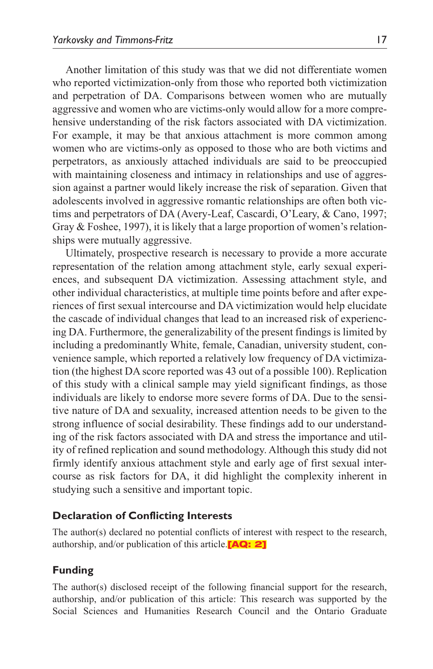Another limitation of this study was that we did not differentiate women who reported victimization-only from those who reported both victimization and perpetration of DA. Comparisons between women who are mutually aggressive and women who are victims-only would allow for a more comprehensive understanding of the risk factors associated with DA victimization. For example, it may be that anxious attachment is more common among women who are victims-only as opposed to those who are both victims and perpetrators, as anxiously attached individuals are said to be preoccupied with maintaining closeness and intimacy in relationships and use of aggression against a partner would likely increase the risk of separation. Given that adolescents involved in aggressive romantic relationships are often both victims and perpetrators of DA (Avery-Leaf, Cascardi, O'Leary, & Cano, 1997; Gray  $&$  Foshee, 1997), it is likely that a large proportion of women's relationships were mutually aggressive.

Ultimately, prospective research is necessary to provide a more accurate representation of the relation among attachment style, early sexual experiences, and subsequent DA victimization. Assessing attachment style, and other individual characteristics, at multiple time points before and after experiences of first sexual intercourse and DA victimization would help elucidate the cascade of individual changes that lead to an increased risk of experiencing DA. Furthermore, the generalizability of the present findings is limited by including a predominantly White, female, Canadian, university student, convenience sample, which reported a relatively low frequency of DA victimization (the highest DA score reported was 43 out of a possible 100). Replication of this study with a clinical sample may yield significant findings, as those individuals are likely to endorse more severe forms of DA. Due to the sensitive nature of DA and sexuality, increased attention needs to be given to the strong influence of social desirability. These findings add to our understanding of the risk factors associated with DA and stress the importance and utility of refined replication and sound methodology. Although this study did not firmly identify anxious attachment style and early age of first sexual intercourse as risk factors for DA, it did highlight the complexity inherent in studying such a sensitive and important topic.

#### **Declaration of Conflicting Interests**

The author(s) declared no potential conflicts of interest with respect to the research, authorship, and/or publication of this article. $[AQ: 2]$ 

#### **Funding**

The author(s) disclosed receipt of the following financial support for the research, authorship, and/or publication of this article: This research was supported by the Social Sciences and Humanities Research Council and the Ontario Graduate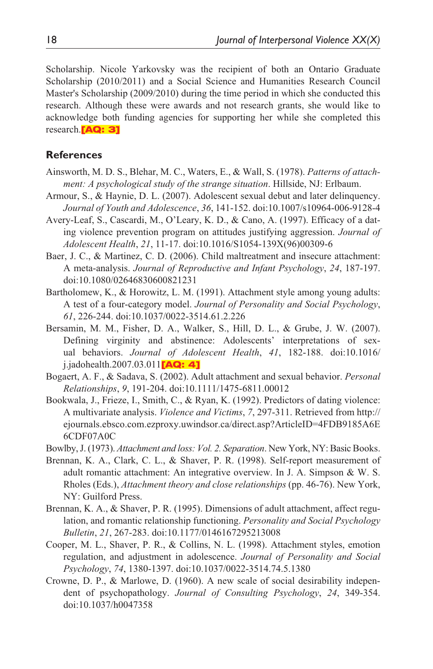Scholarship. Nicole Yarkovsky was the recipient of both an Ontario Graduate Scholarship (2010/2011) and a Social Science and Humanities Research Council Master's Scholarship (2009/2010) during the time period in which she conducted this research. Although these were awards and not research grants, she would like to acknowledge both funding agencies for supporting her while she completed this research.**[AQ: 3]** 

#### **References**

- Ainsworth, M. D. S., Blehar, M. C., Waters, E., & Wall, S. (1978). *Patterns of attachment: A psychological study of the strange situation*. Hillside, NJ: Erlbaum.
- Armour, S., & Haynie, D. L. (2007). Adolescent sexual debut and later delinquency. *Journal of Youth and Adolescence*, *36*, 141-152. doi:10.1007/s10964-006-9128-4
- Avery-Leaf, S., Cascardi, M., O'Leary, K. D., & Cano, A. (1997). Efficacy of a dating violence prevention program on attitudes justifying aggression. *Journal of Adolescent Health*, *21*, 11-17. doi:10.1016/S1054-139X(96)00309-6
- Baer, J. C., & Martinez, C. D. (2006). Child maltreatment and insecure attachment: A meta-analysis. *Journal of Reproductive and Infant Psychology*, *24*, 187-197. doi:10.1080/02646830600821231
- Bartholomew, K., & Horowitz, L. M. (1991). Attachment style among young adults: A test of a four-category model. *Journal of Personality and Social Psychology*, *61*, 226-244. doi:10.1037/0022-3514.61.2.226
- Bersamin, M. M., Fisher, D. A., Walker, S., Hill, D. L., & Grube, J. W. (2007). Defining virginity and abstinence: Adolescents' interpretations of sexual behaviors. *Journal of Adolescent Health*, *41*, 182-188. doi:10.1016/  $j.i]$ adohealth.2007.03.011 $[AQ: 4]$
- Bogaert, A. F., & Sadava, S. (2002). Adult attachment and sexual behavior. *Personal Relationships*, *9*, 191-204. doi:10.1111/1475-6811.00012
- Bookwala, J., Frieze, I., Smith, C., & Ryan, K. (1992). Predictors of dating violence: A multivariate analysis. *Violence and Victims*, *7*, 297-311. Retrieved from http:// ejournals.ebsco.com.ezproxy.uwindsor.ca/direct.asp?ArticleID=4FDB9185A6E 6CDF07A0C
- Bowlby, J. (1973). *Attachment and loss: Vol. 2. Separation*. New York, NY: Basic Books.
- Brennan, K. A., Clark, C. L., & Shaver, P. R. (1998). Self-report measurement of adult romantic attachment: An integrative overview. In J. A. Simpson & W. S. Rholes (Eds.), *Attachment theory and close relationships* (pp. 46-76). New York, NY: Guilford Press.
- Brennan, K. A., & Shaver, P. R. (1995). Dimensions of adult attachment, affect regulation, and romantic relationship functioning. *Personality and Social Psychology Bulletin*, *21*, 267-283. doi:10.1177/0146167295213008
- Cooper, M. L., Shaver, P. R., & Collins, N. L. (1998). Attachment styles, emotion regulation, and adjustment in adolescence. *Journal of Personality and Social Psychology*, *74*, 1380-1397. doi:10.1037/0022-3514.74.5.1380
- Crowne, D. P., & Marlowe, D. (1960). A new scale of social desirability independent of psychopathology. *Journal of Consulting Psychology*, *24*, 349-354. doi:10.1037/h0047358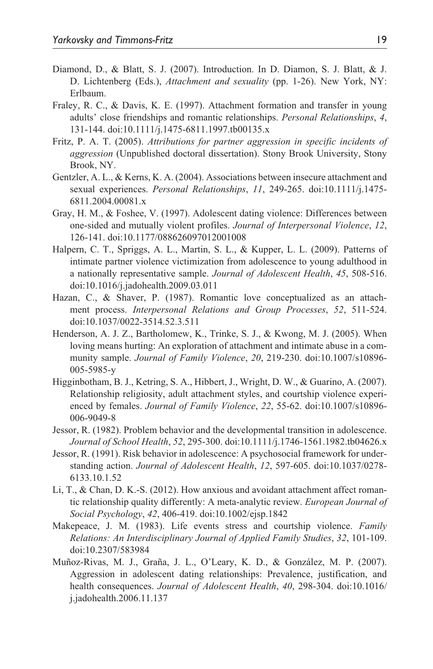- Diamond, D., & Blatt, S. J. (2007). Introduction. In D. Diamon, S. J. Blatt, & J. D. Lichtenberg (Eds.), *Attachment and sexuality* (pp. 1-26). New York, NY: Erlbaum.
- Fraley, R. C., & Davis, K. E. (1997). Attachment formation and transfer in young adults' close friendships and romantic relationships. *Personal Relationships*, *4*, 131-144. doi:10.1111/j.1475-6811.1997.tb00135.x
- Fritz, P. A. T. (2005). *Attributions for partner aggression in specific incidents of aggression* (Unpublished doctoral dissertation). Stony Brook University, Stony Brook, NY.
- Gentzler, A. L., & Kerns, K. A. (2004). Associations between insecure attachment and sexual experiences. *Personal Relationships*, *11*, 249-265. doi:10.1111/j.1475- 6811.2004.00081.x
- Gray, H. M., & Foshee, V. (1997). Adolescent dating violence: Differences between one-sided and mutually violent profiles. *Journal of Interpersonal Violence*, *12*, 126-141. doi:10.1177/088626097012001008
- Halpern, C. T., Spriggs, A. L., Martin, S. L., & Kupper, L. L. (2009). Patterns of intimate partner violence victimization from adolescence to young adulthood in a nationally representative sample. *Journal of Adolescent Health*, *45*, 508-516. doi:10.1016/j.jadohealth.2009.03.011
- Hazan, C., & Shaver, P. (1987). Romantic love conceptualized as an attachment process. *Interpersonal Relations and Group Processes*, *52*, 511-524. doi:10.1037/0022-3514.52.3.511
- Henderson, A. J. Z., Bartholomew, K., Trinke, S. J., & Kwong, M. J. (2005). When loving means hurting: An exploration of attachment and intimate abuse in a community sample. *Journal of Family Violence*, *20*, 219-230. doi:10.1007/s10896- 005-5985-y
- Higginbotham, B. J., Ketring, S. A., Hibbert, J., Wright, D. W., & Guarino, A. (2007). Relationship religiosity, adult attachment styles, and courtship violence experienced by females. *Journal of Family Violence*, *22*, 55-62. doi:10.1007/s10896- 006-9049-8
- Jessor, R. (1982). Problem behavior and the developmental transition in adolescence. *Journal of School Health*, *52*, 295-300. doi:10.1111/j.1746-1561.1982.tb04626.x
- Jessor, R. (1991). Risk behavior in adolescence: A psychosocial framework for understanding action. *Journal of Adolescent Health*, *12*, 597-605. doi:10.1037/0278- 6133.10.1.52
- Li, T., & Chan, D. K.-S. (2012). How anxious and avoidant attachment affect romantic relationship quality differently: A meta-analytic review. *European Journal of Social Psychology*, *42*, 406-419. doi:10.1002/ejsp.1842
- Makepeace, J. M. (1983). Life events stress and courtship violence. *Family Relations: An Interdisciplinary Journal of Applied Family Studies*, *32*, 101-109. doi:10.2307/583984
- Muñoz-Rivas, M. J., Graña, J. L., O'Leary, K. D., & González, M. P. (2007). Aggression in adolescent dating relationships: Prevalence, justification, and health consequences. *Journal of Adolescent Health*, *40*, 298-304. doi:10.1016/ j.jadohealth.2006.11.137